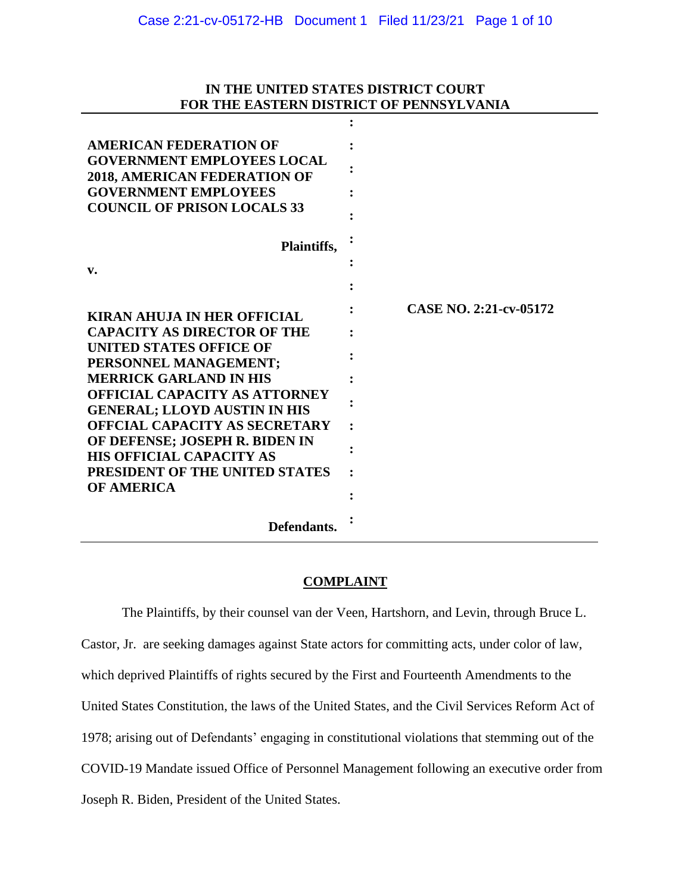## **IN THE UNITED STATES DISTRICT COURT FOR THE EASTERN DISTRICT OF PENNSYLVANIA**

**:**

| <b>AMERICAN FEDERATION OF</b><br><b>GOVERNMENT EMPLOYEES LOCAL</b><br><b>2018, AMERICAN FEDERATION OF</b> |                        |
|-----------------------------------------------------------------------------------------------------------|------------------------|
| <b>GOVERNMENT EMPLOYEES</b><br><b>COUNCIL OF PRISON LOCALS 33</b>                                         |                        |
| Plaintiffs,                                                                                               |                        |
| v.                                                                                                        |                        |
| <b>KIRAN AHUJA IN HER OFFICIAL</b>                                                                        | CASE NO. 2:21-cv-05172 |
| <b>CAPACITY AS DIRECTOR OF THE</b>                                                                        |                        |
| <b>UNITED STATES OFFICE OF</b><br>PERSONNEL MANAGEMENT;                                                   |                        |
| <b>MERRICK GARLAND IN HIS</b>                                                                             |                        |
| <b>OFFICIAL CAPACITY AS ATTORNEY</b><br><b>GENERAL; LLOYD AUSTIN IN HIS</b>                               |                        |
| <b>OFFCIAL CAPACITY AS SECRETARY</b>                                                                      |                        |
| OF DEFENSE; JOSEPH R. BIDEN IN<br><b>HIS OFFICIAL CAPACITY AS</b>                                         |                        |
| PRESIDENT OF THE UNITED STATES                                                                            |                        |
| <b>OF AMERICA</b>                                                                                         |                        |
| Defendants.                                                                                               |                        |

## **COMPLAINT**

The Plaintiffs, by their counsel van der Veen, Hartshorn, and Levin, through Bruce L. Castor, Jr. are seeking damages against State actors for committing acts, under color of law, which deprived Plaintiffs of rights secured by the First and Fourteenth Amendments to the United States Constitution, the laws of the United States, and the Civil Services Reform Act of 1978; arising out of Defendants' engaging in constitutional violations that stemming out of the COVID-19 Mandate issued Office of Personnel Management following an executive order from Joseph R. Biden, President of the United States.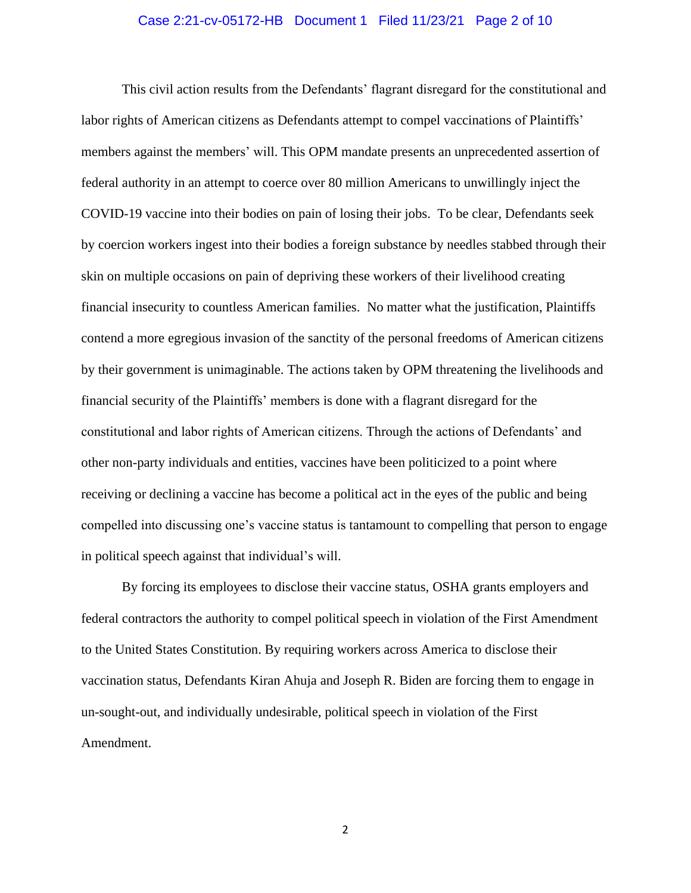#### Case 2:21-cv-05172-HB Document 1 Filed 11/23/21 Page 2 of 10

This civil action results from the Defendants' flagrant disregard for the constitutional and labor rights of American citizens as Defendants attempt to compel vaccinations of Plaintiffs' members against the members' will. This OPM mandate presents an unprecedented assertion of federal authority in an attempt to coerce over 80 million Americans to unwillingly inject the COVID-19 vaccine into their bodies on pain of losing their jobs. To be clear, Defendants seek by coercion workers ingest into their bodies a foreign substance by needles stabbed through their skin on multiple occasions on pain of depriving these workers of their livelihood creating financial insecurity to countless American families. No matter what the justification, Plaintiffs contend a more egregious invasion of the sanctity of the personal freedoms of American citizens by their government is unimaginable. The actions taken by OPM threatening the livelihoods and financial security of the Plaintiffs' members is done with a flagrant disregard for the constitutional and labor rights of American citizens. Through the actions of Defendants' and other non-party individuals and entities, vaccines have been politicized to a point where receiving or declining a vaccine has become a political act in the eyes of the public and being compelled into discussing one's vaccine status is tantamount to compelling that person to engage in political speech against that individual's will.

By forcing its employees to disclose their vaccine status, OSHA grants employers and federal contractors the authority to compel political speech in violation of the First Amendment to the United States Constitution. By requiring workers across America to disclose their vaccination status, Defendants Kiran Ahuja and Joseph R. Biden are forcing them to engage in un-sought-out, and individually undesirable, political speech in violation of the First Amendment.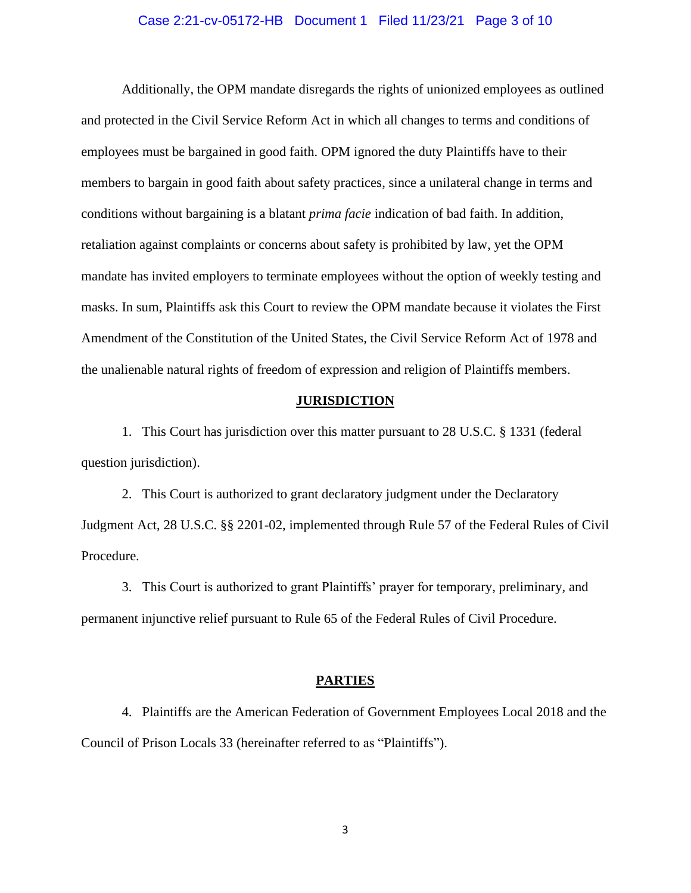#### Case 2:21-cv-05172-HB Document 1 Filed 11/23/21 Page 3 of 10

Additionally, the OPM mandate disregards the rights of unionized employees as outlined and protected in the Civil Service Reform Act in which all changes to terms and conditions of employees must be bargained in good faith. OPM ignored the duty Plaintiffs have to their members to bargain in good faith about safety practices, since a unilateral change in terms and conditions without bargaining is a blatant *prima facie* indication of bad faith. In addition, retaliation against complaints or concerns about safety is prohibited by law, yet the OPM mandate has invited employers to terminate employees without the option of weekly testing and masks. In sum, Plaintiffs ask this Court to review the OPM mandate because it violates the First Amendment of the Constitution of the United States, the Civil Service Reform Act of 1978 and the unalienable natural rights of freedom of expression and religion of Plaintiffs members.

#### **JURISDICTION**

1. This Court has jurisdiction over this matter pursuant to 28 U.S.C. § 1331 (federal question jurisdiction).

2. This Court is authorized to grant declaratory judgment under the Declaratory Judgment Act, 28 U.S.C. §§ 2201-02, implemented through Rule 57 of the Federal Rules of Civil Procedure.

3. This Court is authorized to grant Plaintiffs' prayer for temporary, preliminary, and permanent injunctive relief pursuant to Rule 65 of the Federal Rules of Civil Procedure.

#### **PARTIES**

4. Plaintiffs are the American Federation of Government Employees Local 2018 and the Council of Prison Locals 33 (hereinafter referred to as "Plaintiffs").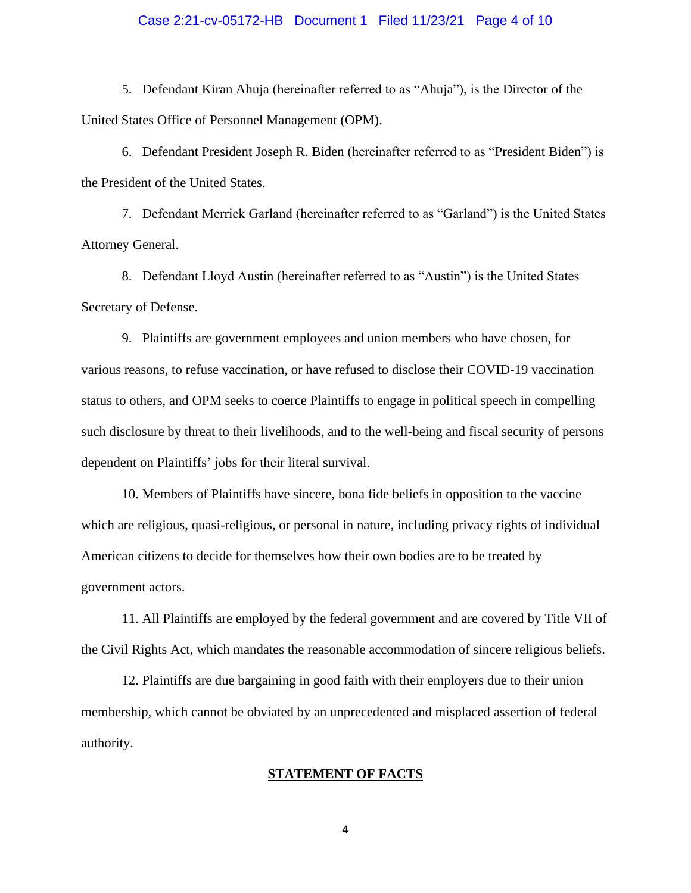#### Case 2:21-cv-05172-HB Document 1 Filed 11/23/21 Page 4 of 10

5. Defendant Kiran Ahuja (hereinafter referred to as "Ahuja"), is the Director of the United States Office of Personnel Management (OPM).

6. Defendant President Joseph R. Biden (hereinafter referred to as "President Biden") is the President of the United States.

7. Defendant Merrick Garland (hereinafter referred to as "Garland") is the United States Attorney General.

8. Defendant Lloyd Austin (hereinafter referred to as "Austin") is the United States Secretary of Defense.

9. Plaintiffs are government employees and union members who have chosen, for various reasons, to refuse vaccination, or have refused to disclose their COVID-19 vaccination status to others, and OPM seeks to coerce Plaintiffs to engage in political speech in compelling such disclosure by threat to their livelihoods, and to the well-being and fiscal security of persons dependent on Plaintiffs' jobs for their literal survival.

10. Members of Plaintiffs have sincere, bona fide beliefs in opposition to the vaccine which are religious, quasi-religious, or personal in nature, including privacy rights of individual American citizens to decide for themselves how their own bodies are to be treated by government actors.

11. All Plaintiffs are employed by the federal government and are covered by Title VII of the Civil Rights Act, which mandates the reasonable accommodation of sincere religious beliefs.

12. Plaintiffs are due bargaining in good faith with their employers due to their union membership, which cannot be obviated by an unprecedented and misplaced assertion of federal authority.

#### **STATEMENT OF FACTS**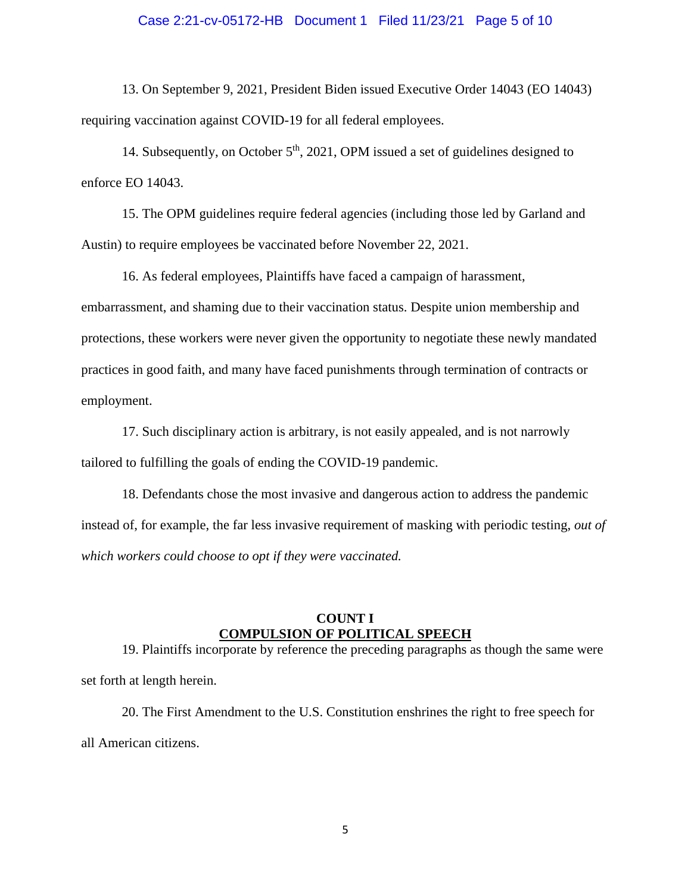#### Case 2:21-cv-05172-HB Document 1 Filed 11/23/21 Page 5 of 10

13. On September 9, 2021, President Biden issued Executive Order 14043 (EO 14043) requiring vaccination against COVID-19 for all federal employees.

14. Subsequently, on October 5<sup>th</sup>, 2021, OPM issued a set of guidelines designed to enforce EO 14043.

15. The OPM guidelines require federal agencies (including those led by Garland and Austin) to require employees be vaccinated before November 22, 2021.

16. As federal employees, Plaintiffs have faced a campaign of harassment, embarrassment, and shaming due to their vaccination status. Despite union membership and protections, these workers were never given the opportunity to negotiate these newly mandated practices in good faith, and many have faced punishments through termination of contracts or employment.

17. Such disciplinary action is arbitrary, is not easily appealed, and is not narrowly tailored to fulfilling the goals of ending the COVID-19 pandemic.

18. Defendants chose the most invasive and dangerous action to address the pandemic instead of, for example, the far less invasive requirement of masking with periodic testing, *out of which workers could choose to opt if they were vaccinated.*

#### **COUNT I COMPULSION OF POLITICAL SPEECH**

19. Plaintiffs incorporate by reference the preceding paragraphs as though the same were set forth at length herein.

20. The First Amendment to the U.S. Constitution enshrines the right to free speech for all American citizens.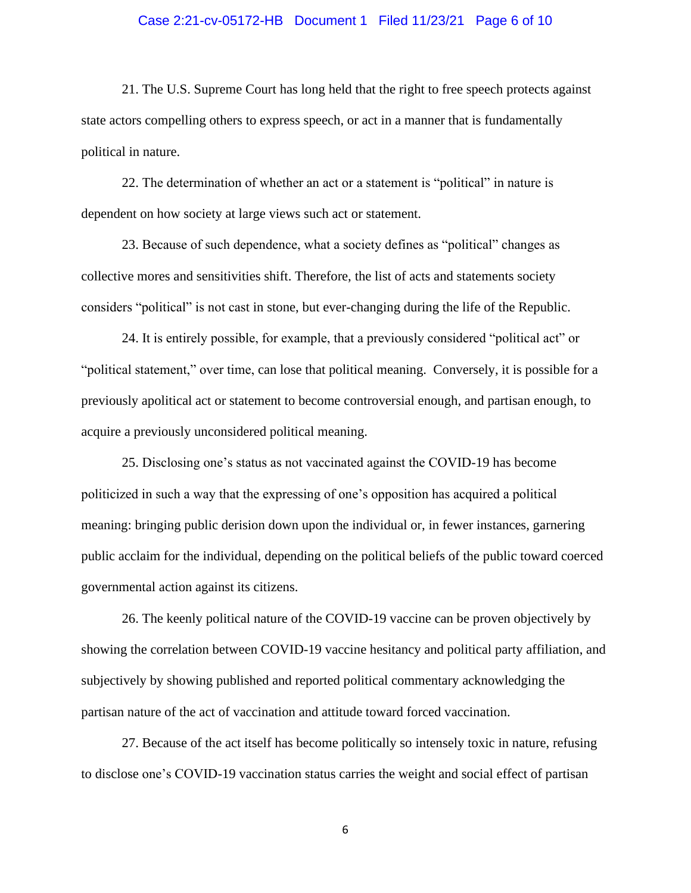#### Case 2:21-cv-05172-HB Document 1 Filed 11/23/21 Page 6 of 10

21. The U.S. Supreme Court has long held that the right to free speech protects against state actors compelling others to express speech, or act in a manner that is fundamentally political in nature.

22. The determination of whether an act or a statement is "political" in nature is dependent on how society at large views such act or statement.

23. Because of such dependence, what a society defines as "political" changes as collective mores and sensitivities shift. Therefore, the list of acts and statements society considers "political" is not cast in stone, but ever-changing during the life of the Republic.

24. It is entirely possible, for example, that a previously considered "political act" or "political statement," over time, can lose that political meaning. Conversely, it is possible for a previously apolitical act or statement to become controversial enough, and partisan enough, to acquire a previously unconsidered political meaning.

25. Disclosing one's status as not vaccinated against the COVID-19 has become politicized in such a way that the expressing of one's opposition has acquired a political meaning: bringing public derision down upon the individual or, in fewer instances, garnering public acclaim for the individual, depending on the political beliefs of the public toward coerced governmental action against its citizens.

26. The keenly political nature of the COVID-19 vaccine can be proven objectively by showing the correlation between COVID-19 vaccine hesitancy and political party affiliation, and subjectively by showing published and reported political commentary acknowledging the partisan nature of the act of vaccination and attitude toward forced vaccination.

27. Because of the act itself has become politically so intensely toxic in nature, refusing to disclose one's COVID-19 vaccination status carries the weight and social effect of partisan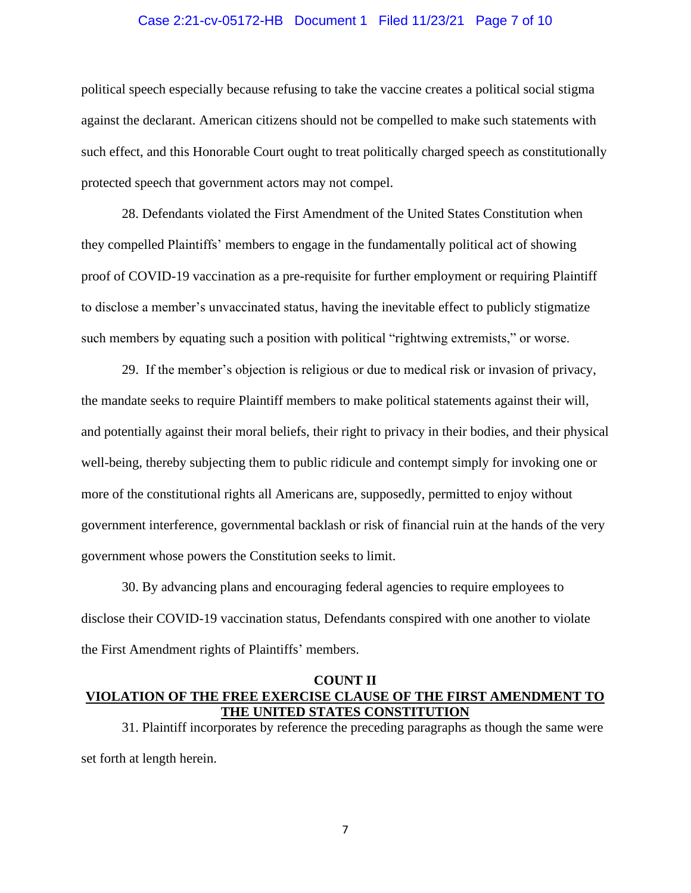#### Case 2:21-cv-05172-HB Document 1 Filed 11/23/21 Page 7 of 10

political speech especially because refusing to take the vaccine creates a political social stigma against the declarant. American citizens should not be compelled to make such statements with such effect, and this Honorable Court ought to treat politically charged speech as constitutionally protected speech that government actors may not compel.

28. Defendants violated the First Amendment of the United States Constitution when they compelled Plaintiffs' members to engage in the fundamentally political act of showing proof of COVID-19 vaccination as a pre-requisite for further employment or requiring Plaintiff to disclose a member's unvaccinated status, having the inevitable effect to publicly stigmatize such members by equating such a position with political "rightwing extremists," or worse.

29. If the member's objection is religious or due to medical risk or invasion of privacy, the mandate seeks to require Plaintiff members to make political statements against their will, and potentially against their moral beliefs, their right to privacy in their bodies, and their physical well-being, thereby subjecting them to public ridicule and contempt simply for invoking one or more of the constitutional rights all Americans are, supposedly, permitted to enjoy without government interference, governmental backlash or risk of financial ruin at the hands of the very government whose powers the Constitution seeks to limit.

30. By advancing plans and encouraging federal agencies to require employees to disclose their COVID-19 vaccination status, Defendants conspired with one another to violate the First Amendment rights of Plaintiffs' members.

## **COUNT II VIOLATION OF THE FREE EXERCISE CLAUSE OF THE FIRST AMENDMENT TO THE UNITED STATES CONSTITUTION**

31. Plaintiff incorporates by reference the preceding paragraphs as though the same were set forth at length herein.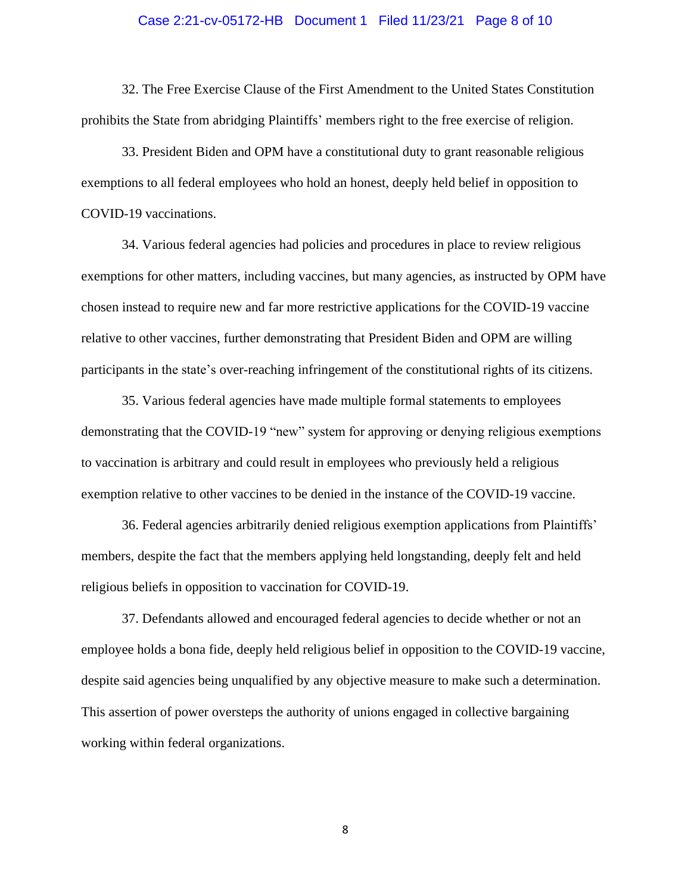#### Case 2:21-cv-05172-HB Document 1 Filed 11/23/21 Page 8 of 10

32. The Free Exercise Clause of the First Amendment to the United States Constitution prohibits the State from abridging Plaintiffs' members right to the free exercise of religion.

33. President Biden and OPM have a constitutional duty to grant reasonable religious exemptions to all federal employees who hold an honest, deeply held belief in opposition to COVID-19 vaccinations.

34. Various federal agencies had policies and procedures in place to review religious exemptions for other matters, including vaccines, but many agencies, as instructed by OPM have chosen instead to require new and far more restrictive applications for the COVID-19 vaccine relative to other vaccines, further demonstrating that President Biden and OPM are willing participants in the state's over-reaching infringement of the constitutional rights of its citizens.

35. Various federal agencies have made multiple formal statements to employees demonstrating that the COVID-19 "new" system for approving or denying religious exemptions to vaccination is arbitrary and could result in employees who previously held a religious exemption relative to other vaccines to be denied in the instance of the COVID-19 vaccine.

36. Federal agencies arbitrarily denied religious exemption applications from Plaintiffs' members, despite the fact that the members applying held longstanding, deeply felt and held religious beliefs in opposition to vaccination for COVID-19.

37. Defendants allowed and encouraged federal agencies to decide whether or not an employee holds a bona fide, deeply held religious belief in opposition to the COVID-19 vaccine, despite said agencies being unqualified by any objective measure to make such a determination. This assertion of power oversteps the authority of unions engaged in collective bargaining working within federal organizations.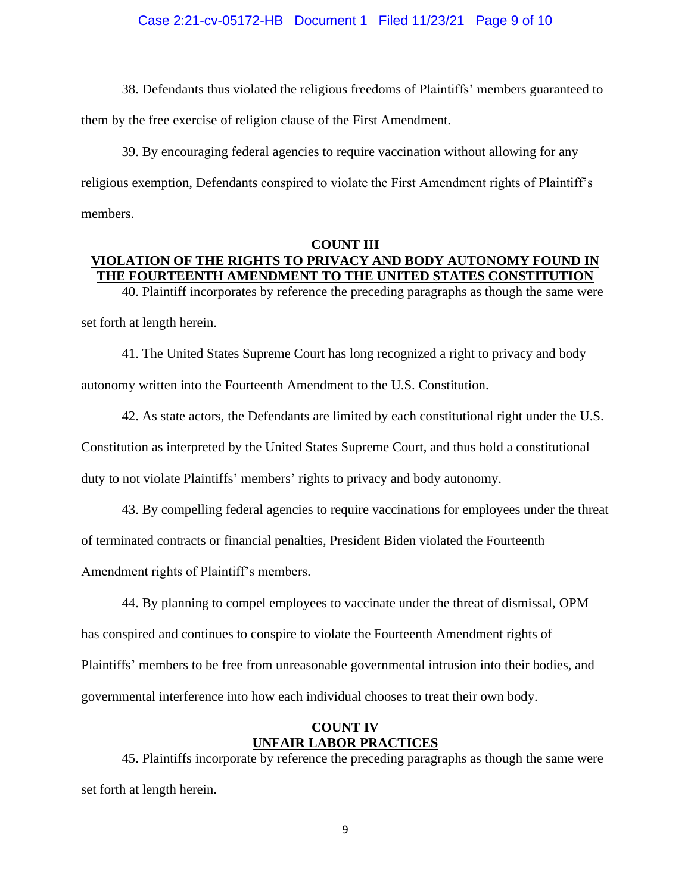38. Defendants thus violated the religious freedoms of Plaintiffs' members guaranteed to

them by the free exercise of religion clause of the First Amendment.

39. By encouraging federal agencies to require vaccination without allowing for any religious exemption, Defendants conspired to violate the First Amendment rights of Plaintiff's members.

### **COUNT III VIOLATION OF THE RIGHTS TO PRIVACY AND BODY AUTONOMY FOUND IN THE FOURTEENTH AMENDMENT TO THE UNITED STATES CONSTITUTION**

40. Plaintiff incorporates by reference the preceding paragraphs as though the same were set forth at length herein.

41. The United States Supreme Court has long recognized a right to privacy and body autonomy written into the Fourteenth Amendment to the U.S. Constitution.

42. As state actors, the Defendants are limited by each constitutional right under the U.S. Constitution as interpreted by the United States Supreme Court, and thus hold a constitutional duty to not violate Plaintiffs' members' rights to privacy and body autonomy.

43. By compelling federal agencies to require vaccinations for employees under the threat of terminated contracts or financial penalties, President Biden violated the Fourteenth Amendment rights of Plaintiff's members.

44. By planning to compel employees to vaccinate under the threat of dismissal, OPM has conspired and continues to conspire to violate the Fourteenth Amendment rights of Plaintiffs' members to be free from unreasonable governmental intrusion into their bodies, and governmental interference into how each individual chooses to treat their own body.

## **COUNT IV UNFAIR LABOR PRACTICES**

45. Plaintiffs incorporate by reference the preceding paragraphs as though the same were set forth at length herein.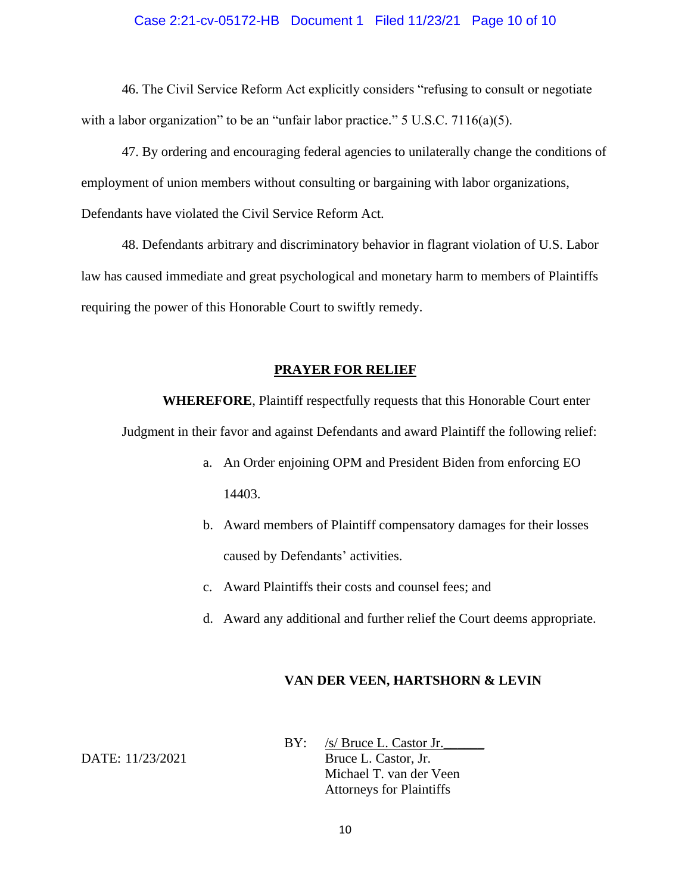#### Case 2:21-cv-05172-HB Document 1 Filed 11/23/21 Page 10 of 10

46. The Civil Service Reform Act explicitly considers "refusing to consult or negotiate with a labor organization" to be an "unfair labor practice."  $5 \text{ U.S.C. } 7116(a)(5)$ .

47. By ordering and encouraging federal agencies to unilaterally change the conditions of employment of union members without consulting or bargaining with labor organizations, Defendants have violated the Civil Service Reform Act.

48. Defendants arbitrary and discriminatory behavior in flagrant violation of U.S. Labor law has caused immediate and great psychological and monetary harm to members of Plaintiffs requiring the power of this Honorable Court to swiftly remedy.

#### **PRAYER FOR RELIEF**

**WHEREFORE**, Plaintiff respectfully requests that this Honorable Court enter

Judgment in their favor and against Defendants and award Plaintiff the following relief:

- a. An Order enjoining OPM and President Biden from enforcing EO 14403.
- b. Award members of Plaintiff compensatory damages for their losses caused by Defendants' activities.
- c. Award Plaintiffs their costs and counsel fees; and
- d. Award any additional and further relief the Court deems appropriate.

#### **VAN DER VEEN, HARTSHORN & LEVIN**

BY: /s/ Bruce L. Castor Jr. DATE: 11/23/2021 Bruce L. Castor, Jr. Michael T. van der Veen Attorneys for Plaintiffs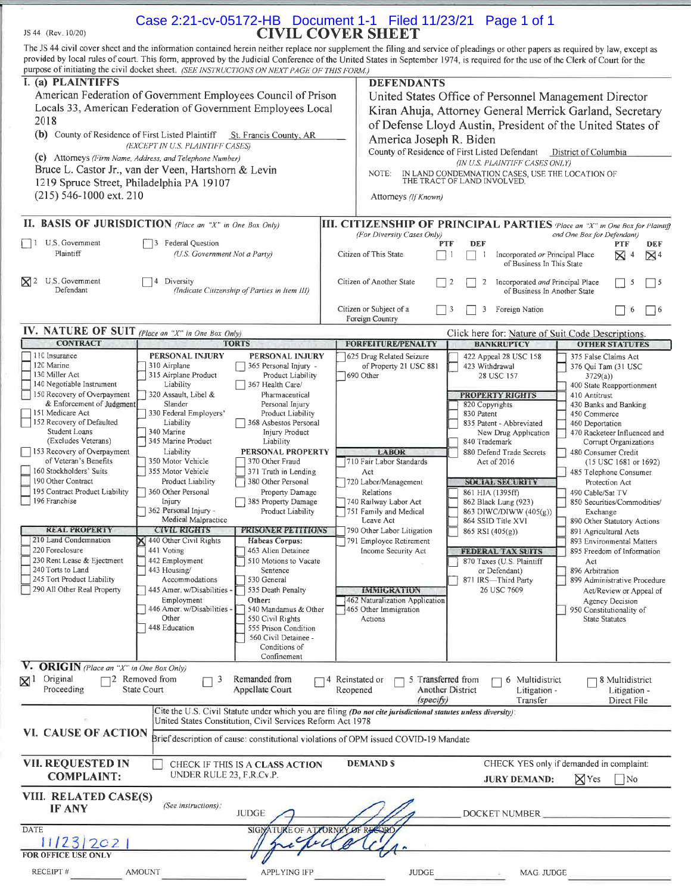| JS 44 (Rev. 10/20)                                                                                                     | Case 2:21-cv-05172-HB  Document 1-1  Filed 11/23/21  Page 1 of 1                                                                                                                                                                                                              | <b>CIVIL COVER SHEET</b>                                                                                  |                                                                                |                                                                    |
|------------------------------------------------------------------------------------------------------------------------|-------------------------------------------------------------------------------------------------------------------------------------------------------------------------------------------------------------------------------------------------------------------------------|-----------------------------------------------------------------------------------------------------------|--------------------------------------------------------------------------------|--------------------------------------------------------------------|
|                                                                                                                        | The JS 44 civil cover sheet and the information contained herein neither replace nor supplement the filing and service of pleadings or other papers as required by law, except as                                                                                             |                                                                                                           |                                                                                |                                                                    |
|                                                                                                                        | provided by local rules of court. This form, approved by the Judicial Conference of the United States in September 1974, is required for the use of the Clerk of Court for the<br>purpose of initiating the civil docket sheet. (SEE INSTRUCTIONS ON NEXT PAGE OF THIS FORM.) |                                                                                                           |                                                                                |                                                                    |
| I. (a) PLAINTIFFS                                                                                                      |                                                                                                                                                                                                                                                                               | <b>DEFENDANTS</b>                                                                                         |                                                                                |                                                                    |
|                                                                                                                        | American Federation of Government Employees Council of Prison                                                                                                                                                                                                                 |                                                                                                           | United States Office of Personnel Management Director                          |                                                                    |
|                                                                                                                        | Locals 33, American Federation of Government Employees Local                                                                                                                                                                                                                  |                                                                                                           | Kiran Ahuja, Attorney General Merrick Garland, Secretary                       |                                                                    |
| 2018<br>(b) County of Residence of First Listed Plaintiff                                                              | St. Francis County, AR                                                                                                                                                                                                                                                        |                                                                                                           | of Defense Lloyd Austin, President of the United States of                     |                                                                    |
|                                                                                                                        | (EXCEPT IN U.S. PLAINTIFF CASES)                                                                                                                                                                                                                                              | America Joseph R. Biden                                                                                   | County of Residence of First Listed Defendant                                  | District of Columbia                                               |
|                                                                                                                        | (c) Attorneys (Firm Name, Address, and Telephone Number)<br>Bruce L. Castor Jr., van der Veen, Hartshorn & Levin                                                                                                                                                              |                                                                                                           | (IN U.S. PLAINTIFF CASES ONLY)                                                 |                                                                    |
| 1219 Spruce Street, Philadelphia PA 19107                                                                              |                                                                                                                                                                                                                                                                               | NOTE:                                                                                                     | IN LAND CONDEMNATION CASES, USE THE LOCATION OF<br>THE TRACT OF LAND INVOLVED. |                                                                    |
| $(215)$ 546-1000 ext. 210                                                                                              |                                                                                                                                                                                                                                                                               | Attorneys (If Known)                                                                                      |                                                                                |                                                                    |
|                                                                                                                        | II. BASIS OF JURISDICTION (Place an "X" in One Box Only)                                                                                                                                                                                                                      |                                                                                                           |                                                                                |                                                                    |
|                                                                                                                        |                                                                                                                                                                                                                                                                               | III. CITIZENSHIP OF PRINCIPAL PARTIES (Place an "X" in One Box for Plaintif<br>(For Diversity Cases Only) |                                                                                | and One Box for Defendant)                                         |
| U.S. Government<br>$\Box$<br>Plaintiff                                                                                 | 3 Federal Question<br>(U.S. Government Not a Party)                                                                                                                                                                                                                           | Citizen of This State                                                                                     | <b>DEF</b><br><b>PTF</b><br>Incorporated or Principal Place<br>-1              | PTF<br>DEF<br>$\boxtimes$ 4<br>$\mathbb{Z}^4$                      |
|                                                                                                                        |                                                                                                                                                                                                                                                                               |                                                                                                           | of Business In This State                                                      |                                                                    |
| U.S. Government<br>$\mathsf{M}^2$<br>Defendant                                                                         | 4 Diversity<br>(Indicate Citizenship of Parties in Item III)                                                                                                                                                                                                                  | Citizen of Another State                                                                                  | Incorporated and Principal Place<br>2<br>2<br>of Business In Another State     | 5<br>$\frac{15}{2}$                                                |
|                                                                                                                        |                                                                                                                                                                                                                                                                               | Citizen or Subject of a<br>Foreign Country                                                                | -3<br>3<br>Foreign Nation                                                      | -6<br>$ $ $ $ 6                                                    |
| IV. NATURE OF SUIT (Place an "X" in One Box Only)<br><b>CONTRACT</b>                                                   | <b>TORTS</b>                                                                                                                                                                                                                                                                  | <b>FORFEITURE/PENALTY</b>                                                                                 | Click here for: Nature of Suit Code Descriptions.<br><b>BANKRUPTCY</b>         | <b>OTHER STATUTES</b>                                              |
| 110 Insurance                                                                                                          | PERSONAL INJURY<br>PERSONAL INJURY                                                                                                                                                                                                                                            | 625 Drug Related Seizure                                                                                  | 422 Appeal 28 USC 158                                                          | 375 False Claims Act                                               |
| 120 Marine<br>130 Miller Act                                                                                           | 310 Airplane<br>365 Personal Injury -<br>315 Airplane Product<br>Product Liability                                                                                                                                                                                            | of Property 21 USC 881<br>$ 690$ Other                                                                    | 423 Withdrawal<br>28 USC 157                                                   | 376 Qui Tam (31 USC<br>3729(a)                                     |
| 140 Negotiable Instrument<br>150 Recovery of Overpayment                                                               | Liability<br>367 Health Care/<br>320 Assault, Libel &<br>Pharmaceutical                                                                                                                                                                                                       |                                                                                                           | <b>PROPERTY RIGHTS</b>                                                         | 400 State Reapportionment<br>410 Antitrust                         |
| & Enforcement of Judgment<br>151 Medicare Act                                                                          | Slander<br>Personal Injury<br>330 Federal Employers'<br>Product Liability                                                                                                                                                                                                     |                                                                                                           | 820 Copyrights<br>830 Patent                                                   | 430 Banks and Banking<br>450 Commerce                              |
| 152 Recovery of Defaulted                                                                                              | Liability<br>368 Asbestos Personal                                                                                                                                                                                                                                            |                                                                                                           | 835 Patent - Abbreviated                                                       | 460 Deportation                                                    |
| Student Loans<br>(Excludes Veterans)                                                                                   | 340 Marine<br>Injury Product<br>345 Marine Product<br>Liability                                                                                                                                                                                                               |                                                                                                           | New Drug Application<br>840 Trademark                                          | 470 Racketeer Influenced and<br>Corrupt Organizations              |
| 153 Recovery of Overpayment<br>of Veteran's Benefits                                                                   | PERSONAL PROPERTY<br>Liability<br>350 Motor Vehicle<br>370 Other Fraud                                                                                                                                                                                                        | <b>LABOR</b><br>710 Fair Labor Standards                                                                  | 880 Defend Trade Secrets<br>Act of 2016                                        | 480 Consumer Credit<br>(15 USC 1681 or 1692)                       |
| 160 Stockholders' Suits                                                                                                | 355 Motor Vehicle<br>371 Truth in Lending                                                                                                                                                                                                                                     | Act                                                                                                       |                                                                                | 485 Telephone Consumer                                             |
| 190 Other Contract<br>195 Contract Product Liability                                                                   | Product Liability<br>380 Other Personal<br>360 Other Personal<br>Property Damage                                                                                                                                                                                              | 720 Labor/Management<br>Relations                                                                         | <b>SOCIAL SECURITY</b><br>861 HIA (1395ff)                                     | Protection Act<br>490 Cable/Sat TV                                 |
| 196 Franchise                                                                                                          | Injury<br>385 Property Damage<br>362 Personal Injury -<br>Product Liability                                                                                                                                                                                                   | 740 Railway Labor Act<br>751 Family and Medical                                                           | 862 Black Lung (923)<br>863 DIWC/DIWW (405(g))                                 | 850 Securities/Commodities/<br>Exchange                            |
| <b>REAL PROPERTY</b>                                                                                                   | Medical Malpractice                                                                                                                                                                                                                                                           | Leave Act                                                                                                 | 864 SSID Title XVI                                                             | 890 Other Statutory Actions                                        |
| 210 Land Condemnation                                                                                                  | <b>CIVIL RIGHTS</b><br>PRISONER PETITIONS<br>440 Other Civil Rights<br>Habeas Corpus:                                                                                                                                                                                         | 790 Other Labor Litigation<br>791 Employee Retirement                                                     | 865 RSI (405(g))                                                               | 891 Agricultural Acts<br>893 Environmental Matters                 |
| 220 Foreclosure<br>230 Rent Lease & Ejectment                                                                          | 441 Voting<br>463 Alien Detainee<br>442 Employment<br>510 Motions to Vacate                                                                                                                                                                                                   | Income Security Act                                                                                       | <b>FEDERAL TAX SUITS</b><br>870 Taxes (U S. Plaintiff                          | 895 Freedom of Information<br>Act                                  |
| 240 Torts to Land                                                                                                      | 443 Housing/<br>Sentence                                                                                                                                                                                                                                                      |                                                                                                           | or Defendant)                                                                  | 896 Arbitration                                                    |
| 245 Tort Product Liability<br>290 All Other Real Property                                                              | Accommodations<br>530 General<br>535 Death Penalty<br>445 Amer. w/Disabilities -                                                                                                                                                                                              | <b>IMMIGRATION</b>                                                                                        | 871 IRS-Third Party<br>26 USC 7609                                             | 899 Administrative Procedure<br>Act/Review or Appeal of            |
|                                                                                                                        | Other:<br>Employment<br>446 Amer. w/Disabilities -<br>540 Mandamus & Other                                                                                                                                                                                                    | 462 Naturalization Application<br>465 Other Immigration                                                   |                                                                                | Agency Decision<br>950 Constitutionality of                        |
|                                                                                                                        | Other<br>550 Civil Rights                                                                                                                                                                                                                                                     | Actions                                                                                                   |                                                                                | <b>State Statutes</b>                                              |
|                                                                                                                        | 448 Education<br>555 Prison Condition<br>560 Civil Detainee -                                                                                                                                                                                                                 |                                                                                                           |                                                                                |                                                                    |
|                                                                                                                        | Conditions of<br>Confinement                                                                                                                                                                                                                                                  |                                                                                                           |                                                                                |                                                                    |
| <b>ORIGIN</b> (Place an "X" in One Box Only)<br>Original<br>$\boxtimes^{\scriptscriptstyle{\mathrm{I}}}$<br>Proceeding | $\Box$ 2 Removed from<br>Remanded from<br>3<br>State Court<br>Appellate Court                                                                                                                                                                                                 | 5 Transferred from<br>4 Reinstated or<br>Reopened                                                         | 6 Multidistrict<br>Another District<br>Litigation -                            | 78 Multidistrict<br>Litigation -                                   |
|                                                                                                                        |                                                                                                                                                                                                                                                                               | (specify)                                                                                                 | Transfer                                                                       | Direct File                                                        |
| VI. CAUSE OF ACTION                                                                                                    | Cite the U.S. Civil Statute under which you are filing (Do not cite jurisdictional statutes unless diversity):<br>United States Constitution, Civil Services Reform Act 1978                                                                                                  |                                                                                                           |                                                                                |                                                                    |
|                                                                                                                        | Brief description of cause: constitutional violations of OPM issued COVID-19 Mandate                                                                                                                                                                                          |                                                                                                           |                                                                                |                                                                    |
| VII. REQUESTED IN<br><b>COMPLAINT:</b>                                                                                 | CHECK IF THIS IS A CLASS ACTION<br>UNDER RULE 23, F.R.Cv.P.                                                                                                                                                                                                                   | <b>DEMANDS</b>                                                                                            | <b>JURY DEMAND:</b>                                                            | CHECK YES only if demanded in complaint:<br>$\boxtimes$ Yes<br> No |
| VIII. RELATED CASE(S)                                                                                                  |                                                                                                                                                                                                                                                                               |                                                                                                           |                                                                                |                                                                    |
| <b>IF ANY</b>                                                                                                          | (See instructions):<br>JUDGE                                                                                                                                                                                                                                                  |                                                                                                           | DOCKET NUMBER                                                                  |                                                                    |
| <b>DATE</b><br>SIGNATURE OF AT YORNEY OF REA                                                                           |                                                                                                                                                                                                                                                                               |                                                                                                           |                                                                                |                                                                    |
| 11/23/202                                                                                                              |                                                                                                                                                                                                                                                                               |                                                                                                           |                                                                                |                                                                    |
| FOR OFFICE USE ONLY<br>RECEIPT#                                                                                        | <b>AMOUNT</b><br>APPLYING IFP                                                                                                                                                                                                                                                 | <b>JUDGE</b>                                                                                              | MAG JUDGE                                                                      |                                                                    |
|                                                                                                                        |                                                                                                                                                                                                                                                                               |                                                                                                           |                                                                                |                                                                    |